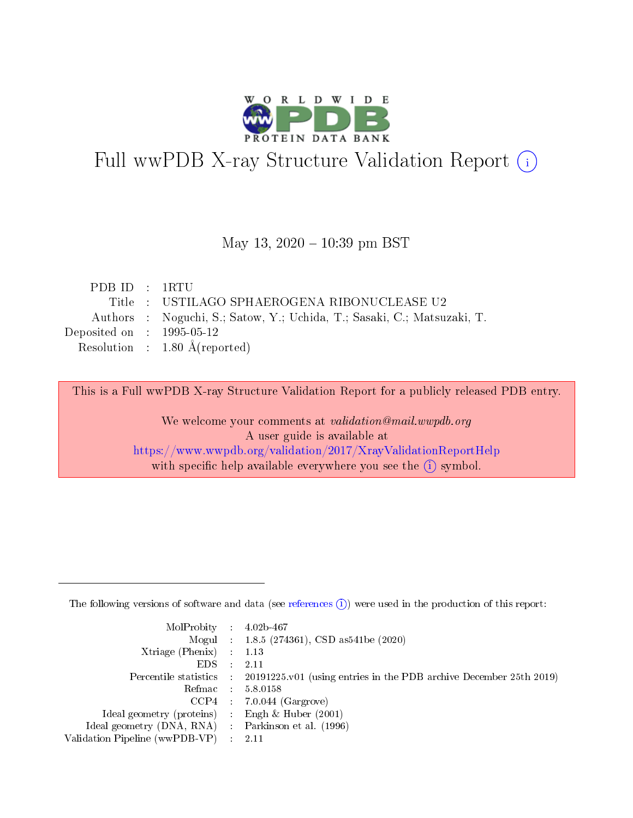

# Full wwPDB X-ray Structure Validation Report (i)

#### May 13,  $2020 - 10:39$  pm BST

|  | Title : USTILAGO SPHAEROGENA RIBONUCLEASE U2                            |
|--|-------------------------------------------------------------------------|
|  | Authors : Noguchi, S.; Satow, Y.; Uchida, T.; Sasaki, C.; Matsuzaki, T. |
|  |                                                                         |
|  | Resolution : $1.80 \text{ Å}$ (reported)                                |
|  | PDB ID : 1RTU<br>Deposited on : $1995-05-12$                            |

This is a Full wwPDB X-ray Structure Validation Report for a publicly released PDB entry.

We welcome your comments at validation@mail.wwpdb.org A user guide is available at <https://www.wwpdb.org/validation/2017/XrayValidationReportHelp> with specific help available everywhere you see the  $(i)$  symbol.

The following versions of software and data (see [references](https://www.wwpdb.org/validation/2017/XrayValidationReportHelp#references)  $(1)$ ) were used in the production of this report:

| MolProbity : $4.02b-467$                            |                                                                                            |
|-----------------------------------------------------|--------------------------------------------------------------------------------------------|
|                                                     | Mogul : $1.8.5$ (274361), CSD as 541be (2020)                                              |
| $Xtriangle (Phenix)$ : 1.13                         |                                                                                            |
| $EDS$ :                                             | -2.11                                                                                      |
|                                                     | Percentile statistics : 20191225.v01 (using entries in the PDB archive December 25th 2019) |
| Refmac : 5.8.0158                                   |                                                                                            |
|                                                     | $CCP4$ 7.0.044 (Gargrove)                                                                  |
| Ideal geometry (proteins) : Engh $\&$ Huber (2001)  |                                                                                            |
| Ideal geometry (DNA, RNA) : Parkinson et al. (1996) |                                                                                            |
| Validation Pipeline (wwPDB-VP) : 2.11               |                                                                                            |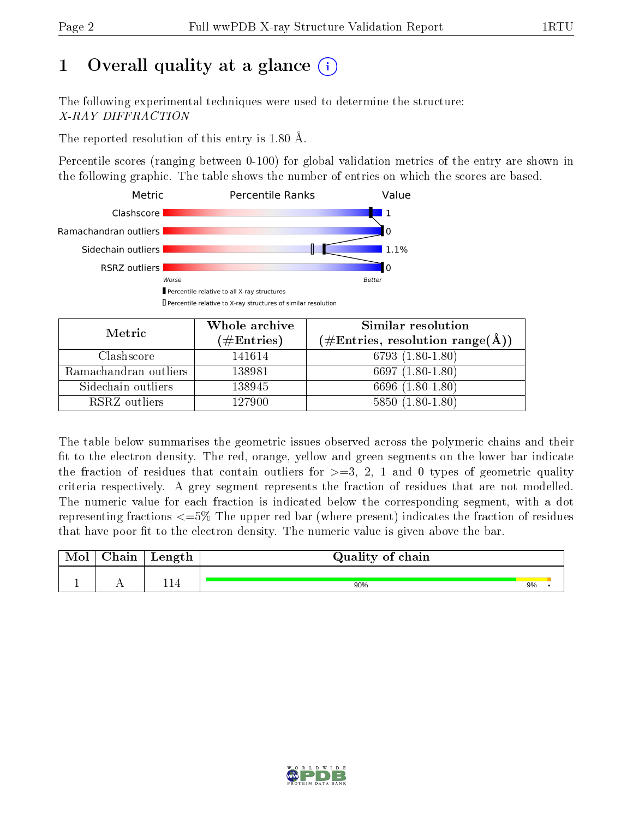## 1 [O](https://www.wwpdb.org/validation/2017/XrayValidationReportHelp#overall_quality)verall quality at a glance  $(i)$

The following experimental techniques were used to determine the structure: X-RAY DIFFRACTION

The reported resolution of this entry is 1.80 Å.

Percentile scores (ranging between 0-100) for global validation metrics of the entry are shown in the following graphic. The table shows the number of entries on which the scores are based.



| Metric                | Whole archive<br>$(\#\text{Entries})$ | <b>Similar resolution</b><br>$(\#\text{Entries}, \text{resolution range}(\text{\AA}))$ |
|-----------------------|---------------------------------------|----------------------------------------------------------------------------------------|
| Clashscore            | 141614                                | $6793(1.80-1.80)$                                                                      |
| Ramachandran outliers | 138981                                | 6697 $(1.80-1.80)$                                                                     |
| Sidechain outliers    | 138945                                | 6696 (1.80-1.80)                                                                       |
| RSRZ outliers         | 127900                                | $5850(1.80-1.80)$                                                                      |

The table below summarises the geometric issues observed across the polymeric chains and their fit to the electron density. The red, orange, yellow and green segments on the lower bar indicate the fraction of residues that contain outliers for  $\geq=3$ , 2, 1 and 0 types of geometric quality criteria respectively. A grey segment represents the fraction of residues that are not modelled. The numeric value for each fraction is indicated below the corresponding segment, with a dot representing fractions  $\epsilon = 5\%$  The upper red bar (where present) indicates the fraction of residues that have poor fit to the electron density. The numeric value is given above the bar.

| Chain | Length | Quality of chain |    |  |  |  |  |
|-------|--------|------------------|----|--|--|--|--|
|       | 114    |                  |    |  |  |  |  |
|       |        | 90%              | 9% |  |  |  |  |

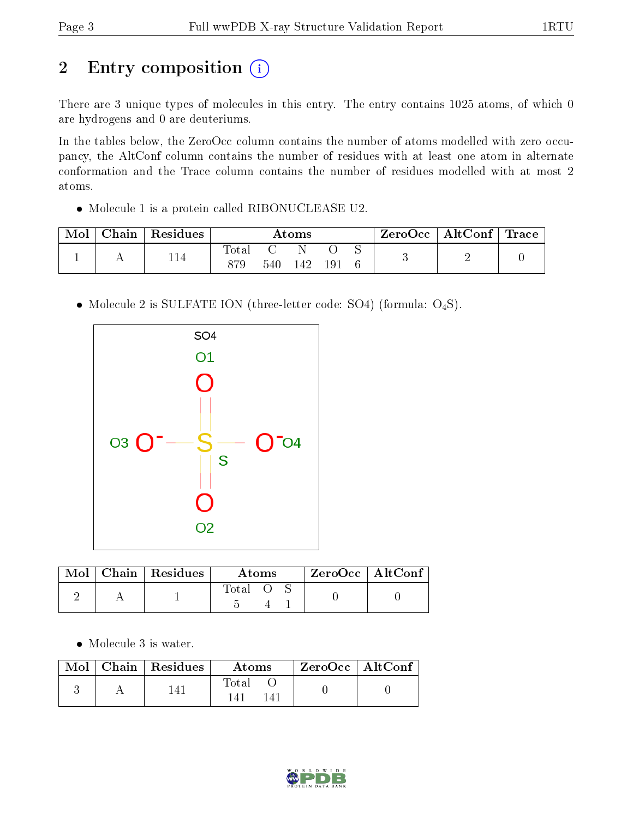## 2 Entry composition (i)

There are 3 unique types of molecules in this entry. The entry contains 1025 atoms, of which 0 are hydrogens and 0 are deuteriums.

In the tables below, the ZeroOcc column contains the number of atoms modelled with zero occupancy, the AltConf column contains the number of residues with at least one atom in alternate conformation and the Trace column contains the number of residues modelled with at most 2 atoms.

Molecule 1 is a protein called RIBONUCLEASE U2.

| Mol | ${\rm Chain}$ | Residues | Atoms |  |    | ZeroOcc | $\vert$ AltConf $\vert$ | $^{\shortmid}$ Trace |  |  |
|-----|---------------|----------|-------|--|----|---------|-------------------------|----------------------|--|--|
|     |               | 114      | lotal |  |    |         |                         |                      |  |  |
|     |               | 879      |       |  | 19 |         |                         |                      |  |  |

• Molecule 2 is SULFATE ION (three-letter code: SO4) (formula: O<sub>4</sub>S).



|  | $\text{Mol}$   Chain   Residues | Atoms   |  | $ZeroOcc$   AltConf |  |  |
|--|---------------------------------|---------|--|---------------------|--|--|
|  |                                 | Total O |  |                     |  |  |

• Molecule 3 is water.

|  | $\blacksquare$ Mol $\vert$ Chain $\vert$ Residues $\vert$ | Atoms | $\mid$ ZeroOcc $\mid$ AltConf $\mid$ |  |
|--|-----------------------------------------------------------|-------|--------------------------------------|--|
|  | 141.                                                      | Total |                                      |  |

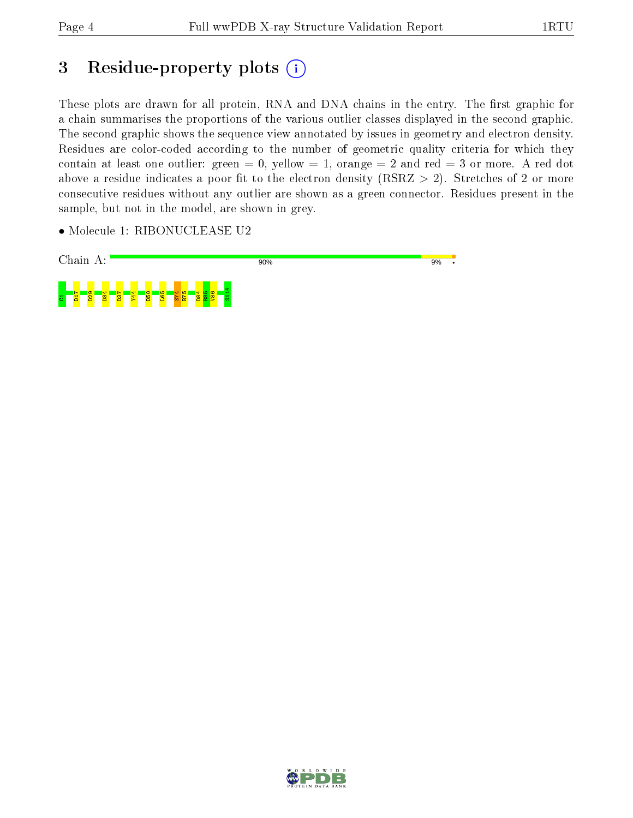## 3 Residue-property plots (i)

These plots are drawn for all protein, RNA and DNA chains in the entry. The first graphic for a chain summarises the proportions of the various outlier classes displayed in the second graphic. The second graphic shows the sequence view annotated by issues in geometry and electron density. Residues are color-coded according to the number of geometric quality criteria for which they contain at least one outlier: green  $= 0$ , yellow  $= 1$ , orange  $= 2$  and red  $= 3$  or more. A red dot above a residue indicates a poor fit to the electron density (RSRZ  $> 2$ ). Stretches of 2 or more consecutive residues without any outlier are shown as a green connector. Residues present in the sample, but not in the model, are shown in grey.

• Molecule 1: RIBONUCLEASE U2



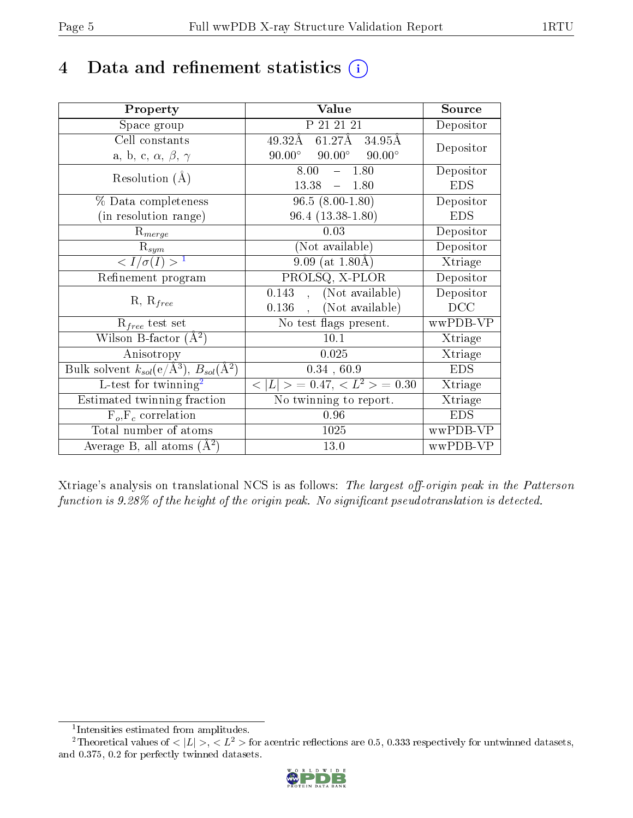## 4 Data and refinement statistics  $(i)$

| Property                                                   | Value                                           | Source     |  |
|------------------------------------------------------------|-------------------------------------------------|------------|--|
| Space group                                                | P 21 21 21                                      | Depositor  |  |
| Cell constants                                             | 61.27Å 34.95Å<br>49.32Å                         |            |  |
| a, b, c, $\alpha$ , $\beta$ , $\gamma$                     | $90.00^\circ$<br>$90.00^\circ$<br>$90.00^\circ$ | Depositor  |  |
| Resolution $(A)$                                           | 1.80<br>8.00                                    | Depositor  |  |
|                                                            | 13.38<br>1.80<br>$\frac{1}{2}$                  | <b>EDS</b> |  |
| % Data completeness                                        | $\overline{96.5}$ $(8.00-1.80)$                 | Depositor  |  |
| (in resolution range)                                      | $96.4(13.38-1.80)$                              | <b>EDS</b> |  |
| $R_{merge}$                                                | 0.03                                            | Depositor  |  |
| $\mathrm{R}_{sym}$                                         | (Not available)                                 | Depositor  |  |
| $\langle I/\sigma(I) \rangle^{-1}$                         | $9.09$ (at 1.80Å)                               | Xtriage    |  |
| Refinement program                                         | PROLSQ, X-PLOR                                  | Depositor  |  |
| $R, R_{free}$                                              | $0.143$ , (Not available)                       | Depositor  |  |
|                                                            | (Not available)<br>0.136                        | DCC        |  |
| $\mathcal{R}_{free}$ test set                              | $\overline{\text{No}}$ test flags present.      | wwPDB-VP   |  |
| Wilson B-factor $(A^2)$                                    | 10.1                                            | Xtriage    |  |
| Anisotropy                                                 | 0.025                                           | Xtriage    |  |
| Bulk solvent $k_{sol}$ (e/Å <sup>3</sup> ), $B_{sol}(A^2)$ | 0.34, 60.9                                      | <b>EDS</b> |  |
| L-test for twinning <sup>2</sup>                           | $< L >$ = 0.47, $< L2 >$ = 0.30                 | Xtriage    |  |
| Estimated twinning fraction                                | No twinning to report.                          | Xtriage    |  |
| $F_o, F_c$ correlation                                     | 0.96                                            | <b>EDS</b> |  |
| Total number of atoms                                      | 1025                                            | wwPDB-VP   |  |
| Average B, all atoms $(A^2)$                               | 13.0                                            | wwPDB-VP   |  |

Xtriage's analysis on translational NCS is as follows: The largest off-origin peak in the Patterson function is  $9.28\%$  of the height of the origin peak. No significant pseudotranslation is detected.

<sup>&</sup>lt;sup>2</sup>Theoretical values of  $\langle |L| \rangle$ ,  $\langle L^2 \rangle$  for acentric reflections are 0.5, 0.333 respectively for untwinned datasets, and 0.375, 0.2 for perfectly twinned datasets.



<span id="page-4-1"></span><span id="page-4-0"></span><sup>1</sup> Intensities estimated from amplitudes.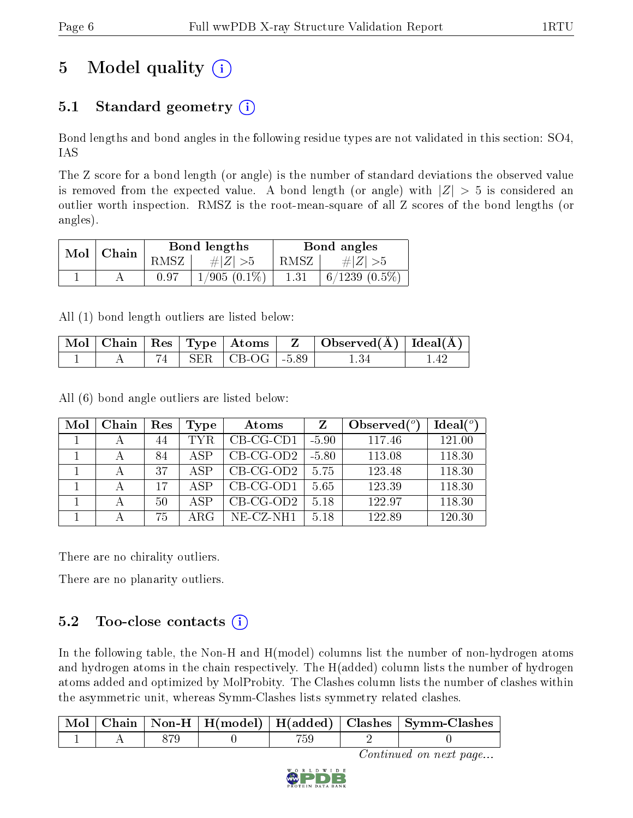## 5 Model quality  $(i)$

### 5.1 Standard geometry  $(i)$

Bond lengths and bond angles in the following residue types are not validated in this section: SO4, IAS

The Z score for a bond length (or angle) is the number of standard deviations the observed value is removed from the expected value. A bond length (or angle) with  $|Z| > 5$  is considered an outlier worth inspection. RMSZ is the root-mean-square of all Z scores of the bond lengths (or angles).

|     |       |      | <b>Bond lengths</b> | Bond angles |                    |  |
|-----|-------|------|---------------------|-------------|--------------------|--|
| Mol | Chain | RMSZ | $\# Z  > 5$         | RMSZ        | $\# Z  > 5$        |  |
|     |       | 0.97 | $1/905(0.1\%)$      | 1.31        | $6/1239$ $(0.5\%)$ |  |

All (1) bond length outliers are listed below:

|  |  |                            | $\mid$ Mol $\mid$ Chain $\mid$ Res $\mid$ Type $\mid$ Atoms $\mid$ $\mid$ Z $\mid$ Observed(Å) $\mid$ Ideal(Å) $\mid$ |  |
|--|--|----------------------------|-----------------------------------------------------------------------------------------------------------------------|--|
|  |  | $74$   SER   CB-OG   -5.89 |                                                                                                                       |  |

All (6) bond angle outliers are listed below:

| Mol | Chain | Res | Type | Atoms        | Z       | Observed $(^\circ)$ | $Ideal(^o)$ |
|-----|-------|-----|------|--------------|---------|---------------------|-------------|
|     |       | 44  | TYR. | $CB-CG-CD1$  | $-5.90$ | 117.46              | 121.00      |
|     |       | 84  | ASP  | $CB-CG-OD2$  | $-5.80$ | 113.08              | 118.30      |
|     |       | 37  | ASP  | $CB-CG-OD2$  | 5.75    | 123.48              | 118.30      |
|     |       | 17  | A SP | $CB$ -CG-OD1 | 5.65    | 123.39              | 118.30      |
|     | А     | 50  | A SP | $CB-CG-OD2$  | 5.18    | 122.97              | 118.30      |
|     |       | 75  | ARG  | $NE- CZ-NH1$ | 5.18    | 122.89              | 120.30      |

There are no chirality outliers.

There are no planarity outliers.

### $5.2$  Too-close contacts  $(i)$

In the following table, the Non-H and H(model) columns list the number of non-hydrogen atoms and hydrogen atoms in the chain respectively. The H(added) column lists the number of hydrogen atoms added and optimized by MolProbity. The Clashes column lists the number of clashes within the asymmetric unit, whereas Symm-Clashes lists symmetry related clashes.

|  |  |  | Chain   Non-H   H(model)   H(added)   Clashes   Symm-Clashes |
|--|--|--|--------------------------------------------------------------|
|  |  |  |                                                              |

Continued on next page...

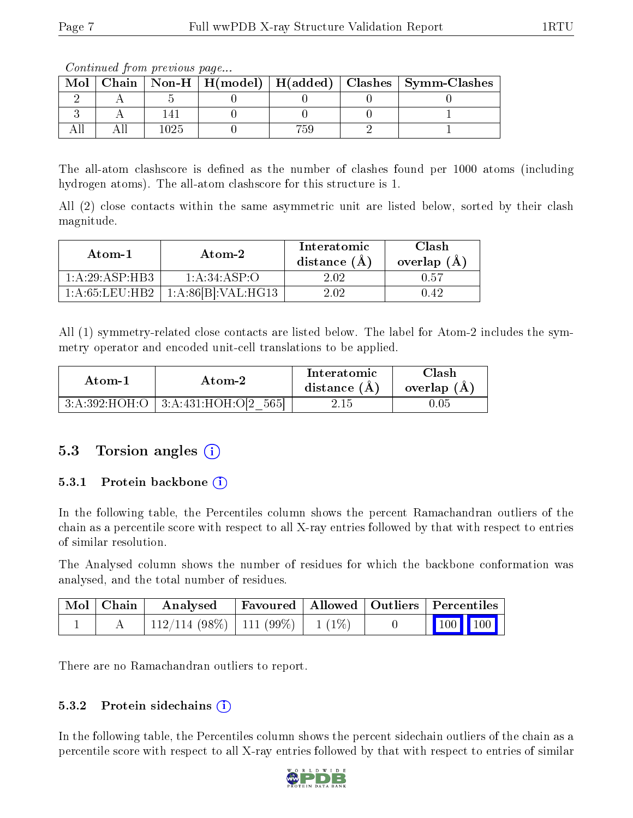Continued from previous page...

The all-atom clashscore is defined as the number of clashes found per 1000 atoms (including hydrogen atoms). The all-atom clashscore for this structure is 1.

All (2) close contacts within the same asymmetric unit are listed below, sorted by their clash magnitude.

| Atom-1           | Atom-2                         | Interatomic<br>distance $(A)$ | Clash<br>overlap $(A)$ |  |
|------------------|--------------------------------|-------------------------------|------------------------|--|
| 1: A:29: ASP:HB3 | 1: A:34:ASP:O                  | 2.02.                         | 0.57                   |  |
| 1:A:65:LEU:HB2   | 1:A:86[B]:VAL:H <sub>G13</sub> | 2 N 2                         |                        |  |

All (1) symmetry-related close contacts are listed below. The label for Atom-2 includes the symmetry operator and encoded unit-cell translations to be applied.

| Atom-1 | Atom-2                                   |      | Clash<br>overlap $(A)$ |  |
|--------|------------------------------------------|------|------------------------|--|
|        | $3:A:392:HOH:O$   $3:A:431:HOH:O[2 565]$ | 2.15 | 0.05                   |  |

#### 5.3 Torsion angles  $(i)$

#### 5.3.1 Protein backbone (i)

In the following table, the Percentiles column shows the percent Ramachandran outliers of the chain as a percentile score with respect to all X-ray entries followed by that with respect to entries of similar resolution.

The Analysed column shows the number of residues for which the backbone conformation was analysed, and the total number of residues.

| $\mid$ Mol $\mid$ Chain $\mid$ | Analysed                           |  | Favoured   Allowed   Outliers   Percentiles |  |
|--------------------------------|------------------------------------|--|---------------------------------------------|--|
|                                | 112/114 (98%)   111 (99%)   1 (1%) |  | 100 100                                     |  |

There are no Ramachandran outliers to report.

#### 5.3.2 Protein sidechains  $(i)$

In the following table, the Percentiles column shows the percent sidechain outliers of the chain as a percentile score with respect to all X-ray entries followed by that with respect to entries of similar



Mol | Chain | Non-H | H(model) | H(added) | Clashes | Symm-Clashes  $2 \mid A \mid 5 \mid 0 \mid 0 \mid 0 \mid 0$ 3 | A | 141 | 0 | 0 | 0 | 1 All | All | 1025 | 0 | 759 | 2 | 1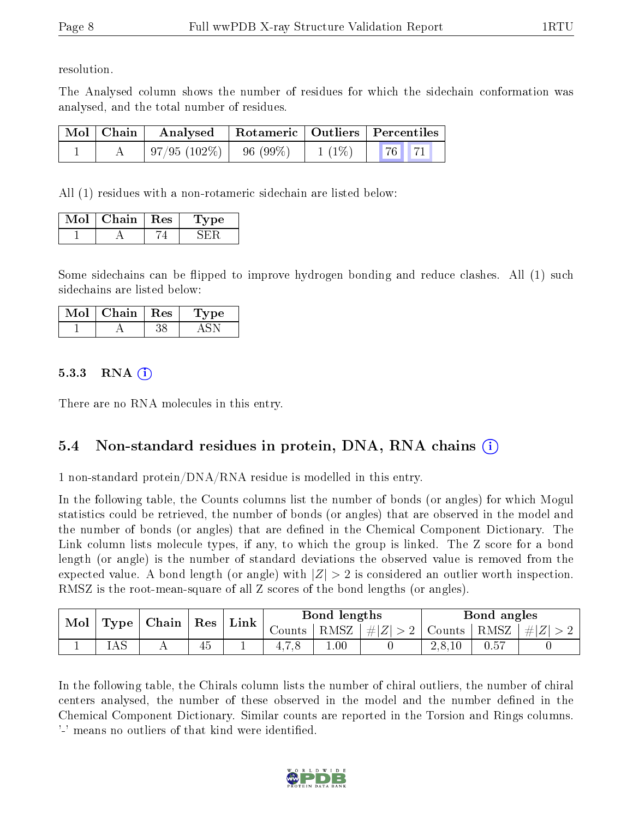resolution.

The Analysed column shows the number of residues for which the sidechain conformation was analysed, and the total number of residues.

| $\mid$ Mol $\mid$ Chain $\mid$ | Analysed   Rotameric   Outliers   Percentiles |         |          |  |  |
|--------------------------------|-----------------------------------------------|---------|----------|--|--|
|                                | $\mid 97/95 \; (102\%) \mid$                  | 96(99%) | $1(1\%)$ |  |  |

All (1) residues with a non-rotameric sidechain are listed below:

| Mol | Chain | Res | 'oe |
|-----|-------|-----|-----|
|     |       |     |     |

Some sidechains can be flipped to improve hydrogen bonding and reduce clashes. All (1) such sidechains are listed below:

| Mol | Chain   Res | Lype |
|-----|-------------|------|
|     |             |      |

#### $5.3.3$  RNA  $(i)$

There are no RNA molecules in this entry.

#### 5.4 Non-standard residues in protein, DNA, RNA chains (i)

1 non-standard protein/DNA/RNA residue is modelled in this entry.

In the following table, the Counts columns list the number of bonds (or angles) for which Mogul statistics could be retrieved, the number of bonds (or angles) that are observed in the model and the number of bonds (or angles) that are dened in the Chemical Component Dictionary. The Link column lists molecule types, if any, to which the group is linked. The Z score for a bond length (or angle) is the number of standard deviations the observed value is removed from the expected value. A bond length (or angle) with  $|Z| > 2$  is considered an outlier worth inspection. RMSZ is the root-mean-square of all Z scores of the bond lengths (or angles).

| $\bf{Mol}$ | $\mid$ Chain $\mid$ Res $\mid$ Link $\mid$<br>Type |  |    |  | Bond lengths |          |                 | Bond angles                         |      |                |
|------------|----------------------------------------------------|--|----|--|--------------|----------|-----------------|-------------------------------------|------|----------------|
|            |                                                    |  |    |  | Counts '     |          | RMSZ $ #Z  > 2$ | $\vert$ Counts $\vert$ RMSZ $\vert$ |      | $\vert \#  Z $ |
|            |                                                    |  | 45 |  | 4.1.0        | $1.00\,$ |                 | 2,8,10                              | 0.57 |                |

In the following table, the Chirals column lists the number of chiral outliers, the number of chiral centers analysed, the number of these observed in the model and the number defined in the Chemical Component Dictionary. Similar counts are reported in the Torsion and Rings columns. '-' means no outliers of that kind were identified.

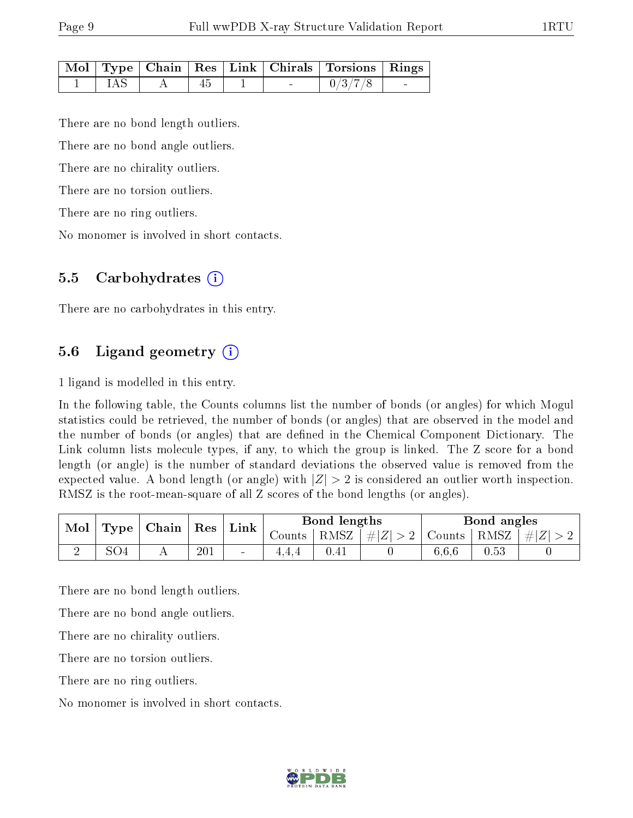|  |  |  | Mol   Type   Chain   Res   Link   Chirals   Torsions   Rings |        |
|--|--|--|--------------------------------------------------------------|--------|
|  |  |  | 0/3/7/8                                                      | $\sim$ |

There are no bond length outliers.

There are no bond angle outliers.

There are no chirality outliers.

There are no torsion outliers.

There are no ring outliers.

No monomer is involved in short contacts.

#### 5.5 Carbohydrates (i)

There are no carbohydrates in this entry.

#### 5.6 Ligand geometry  $(i)$

1 ligand is modelled in this entry.

In the following table, the Counts columns list the number of bonds (or angles) for which Mogul statistics could be retrieved, the number of bonds (or angles) that are observed in the model and the number of bonds (or angles) that are dened in the Chemical Component Dictionary. The Link column lists molecule types, if any, to which the group is linked. The Z score for a bond length (or angle) is the number of standard deviations the observed value is removed from the expected value. A bond length (or angle) with  $|Z| > 2$  is considered an outlier worth inspection. RMSZ is the root-mean-square of all Z scores of the bond lengths (or angles).

| Mol | Type | Chain | Res | Link   |          | Bond lengths |             |        | Bond angles |         |
|-----|------|-------|-----|--------|----------|--------------|-------------|--------|-------------|---------|
|     |      |       |     |        | Jounts + | RMSZ         | $\# Z  > 2$ | Counts | RMSZ        | $\# Z $ |
|     | SO4  |       | 201 | $\sim$ |          | 0.41         |             | 6.6.6  | 0.53        |         |

There are no bond length outliers.

There are no bond angle outliers.

There are no chirality outliers.

There are no torsion outliers.

There are no ring outliers.

No monomer is involved in short contacts.

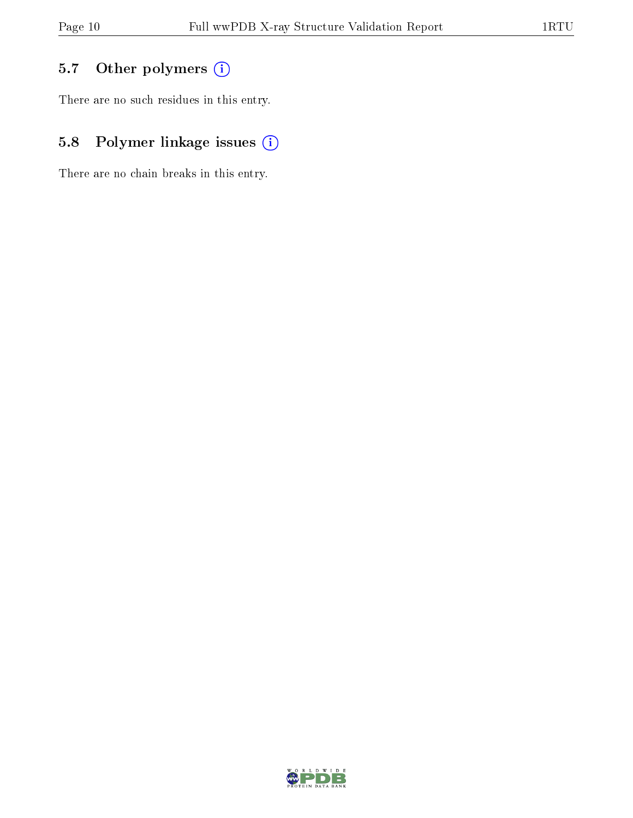### 5.7 [O](https://www.wwpdb.org/validation/2017/XrayValidationReportHelp#nonstandard_residues_and_ligands)ther polymers (i)

There are no such residues in this entry.

### 5.8 Polymer linkage issues (i)

There are no chain breaks in this entry.

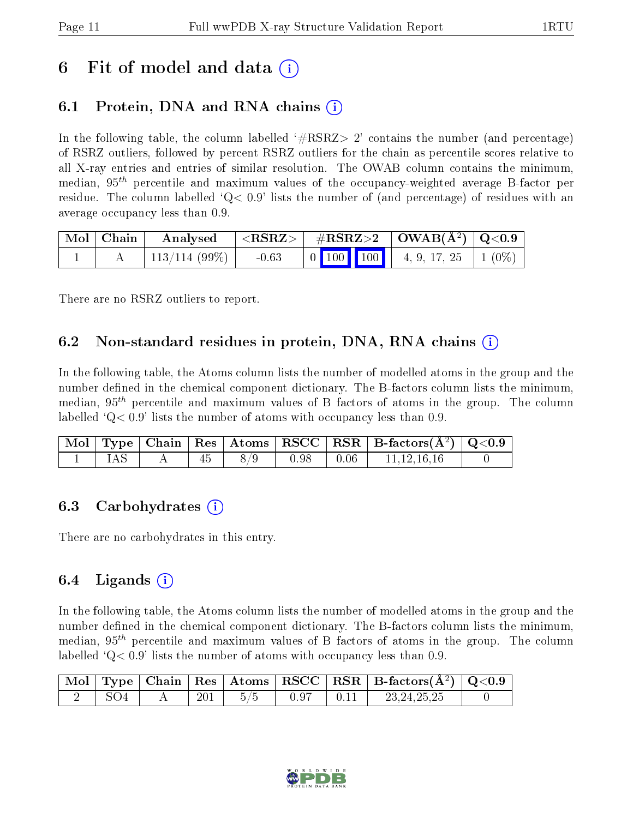## 6 Fit of model and data  $\left( \cdot \right)$

### 6.1 Protein, DNA and RNA chains (i)

In the following table, the column labelled  $#RSRZ>2'$  contains the number (and percentage) of RSRZ outliers, followed by percent RSRZ outliers for the chain as percentile scores relative to all X-ray entries and entries of similar resolution. The OWAB column contains the minimum, median,  $95<sup>th</sup>$  percentile and maximum values of the occupancy-weighted average B-factor per residue. The column labelled  $Q < 0.9$  lists the number of (and percentage) of residues with an average occupancy less than 0.9.

| Mol   Chain | Analysed                 | $^+$ <rsrz> <math>+</math></rsrz> | $\#RSRZ>2$ $\mid$ $\text{OWAB}(\text{A}^2) \mid \text{Q}<0.9$ |  |                                                                                                           |  |
|-------------|--------------------------|-----------------------------------|---------------------------------------------------------------|--|-----------------------------------------------------------------------------------------------------------|--|
|             | $^{\circ}$ 113/114 (99%) | $-0.63$                           |                                                               |  | $\begin{bmatrix} 0 & 100 \\ 100 & 100 \end{bmatrix}$ 4, 9, 17, 25 $\begin{bmatrix} 1 & 0\% \end{bmatrix}$ |  |

There are no RSRZ outliers to report.

#### 6.2 Non-standard residues in protein, DNA, RNA chains  $(i)$

In the following table, the Atoms column lists the number of modelled atoms in the group and the number defined in the chemical component dictionary. The B-factors column lists the minimum, median,  $95<sup>th</sup>$  percentile and maximum values of B factors of atoms in the group. The column labelled  $Q< 0.9$ ' lists the number of atoms with occupancy less than 0.9.

|     |    |     |      | $\vert$ Mol $\vert$ Type $\vert$ Chain $\vert$ Res $\vert$ Atoms $\vert$ RSCC $\vert$ RSR $\vert$ B-factors(A <sup>2</sup> ) $\vert$ Q<0.9 |  |
|-----|----|-----|------|--------------------------------------------------------------------------------------------------------------------------------------------|--|
| IAS | 45 | 8/9 | 0.98 | 11,12,16,16                                                                                                                                |  |

#### 6.3 Carbohydrates (i)

There are no carbohydrates in this entry.

#### $6.4$  Ligands  $(i)$

In the following table, the Atoms column lists the number of modelled atoms in the group and the number defined in the chemical component dictionary. The B-factors column lists the minimum, median,  $95<sup>th</sup>$  percentile and maximum values of B factors of atoms in the group. The column labelled  $Q< 0.9$  lists the number of atoms with occupancy less than 0.9.

|  |         |  |      | $\boxed{\text{ Mol}}$ Type   Chain   Res   Atoms $\boxed{\text{RSCC}}$   RSR   B-factors( $\AA^2$ )   Q<0.9 |  |
|--|---------|--|------|-------------------------------------------------------------------------------------------------------------|--|
|  | $201\,$ |  | 0.11 | 23.24.25.25                                                                                                 |  |